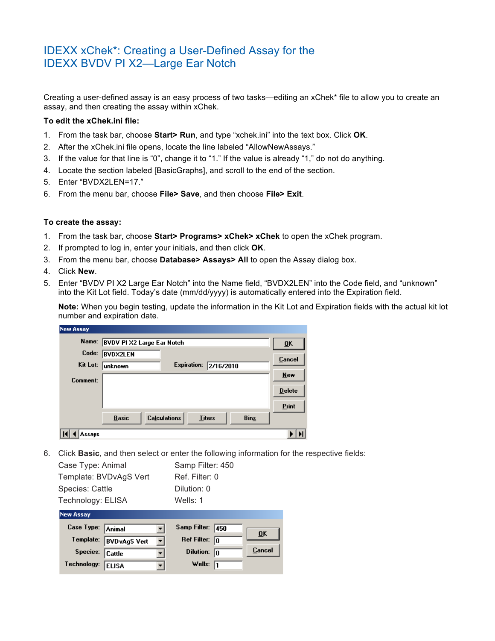## IDEXX xChek\*: Creating a User-Defined Assay for the IDEXX BVDV PI X2—Large Ear Notch

Creating a user-defined assay is an easy process of two tasks—editing an xChek\* file to allow you to create an assay, and then creating the assay within xChek.

## **To edit the xChek.ini file:**

- 1. From the task bar, choose **Start> Run**, and type "xchek.ini" into the text box. Click **OK**.
- 2. After the xChek.ini file opens, locate the line labeled "AllowNewAssays."
- 3. If the value for that line is "0", change it to "1." If the value is already "1," do not do anything.
- 4. Locate the section labeled [BasicGraphs], and scroll to the end of the section.
- 5. Enter "BVDX2LEN=17."
- 6. From the menu bar, choose **File> Save**, and then choose **File> Exit**.

## **To create the assay:**

- 1. From the task bar, choose **Start> Programs> xChek> xChek** to open the xChek program.
- 2. If prompted to log in, enter your initials, and then click **OK**.
- 3. From the menu bar, choose **Database> Assays> All** to open the Assay dialog box.
- 4. Click **New**.
- 5. Enter "BVDV PI X2 Large Ear Notch" into the Name field, "BVDX2LEN" into the Code field, and "unknown" into the Kit Lot field. Today's date (mm/dd/yyyy) is automatically entered into the Expiration field.

**Note:** When you begin testing, update the information in the Kit Lot and Expiration fields with the actual kit lot number and expiration date.

| <b>New Assay</b> |                                   |                                      |                                   |
|------------------|-----------------------------------|--------------------------------------|-----------------------------------|
| Name:            | <b>BVDV PI X2 Large Ear Notch</b> |                                      | $\overline{\mathbf{U}}\mathbf{K}$ |
| Code:            | <b>BVDX2LEN</b>                   |                                      |                                   |
| Kit Lot:         | unknown                           | <b>Expiration:</b><br>2/16/2010      | <b>Cancel</b>                     |
| Comment:         |                                   |                                      | <b>New</b>                        |
|                  |                                   |                                      | <b>Delete</b>                     |
|                  |                                   |                                      | Print                             |
|                  | <b>Basic</b>                      | <b>Calculations</b><br><b>Titers</b> | <b>Bins</b>                       |
| Assays           |                                   |                                      |                                   |

6. Click **Basic**, and then select or enter the following information for the respective fields:

| Case Type: Animal      | Samp Filter: 450 |
|------------------------|------------------|
| Template: BVDvAgS Vert | Ref. Filter: 0   |
| Species: Cattle        | Dilution: 0      |
| Technology: ELISA      | Wells: $1$       |

| <b>New Assay</b>  |                      |    |                         |        |
|-------------------|----------------------|----|-------------------------|--------|
| Case Type: Animal |                      |    | Samp Filter: 450        | ŪK     |
| Template:         | <b>BVD</b> vAgS Vert | ▾╎ | Ref Filter: $\boxed{0}$ |        |
| Species: Cattle   |                      |    | Dilution: $\boxed{0}$   | Cancel |
| Technology:       | <b>ELISA</b>         |    | Wells: $\sqrt{1}$       |        |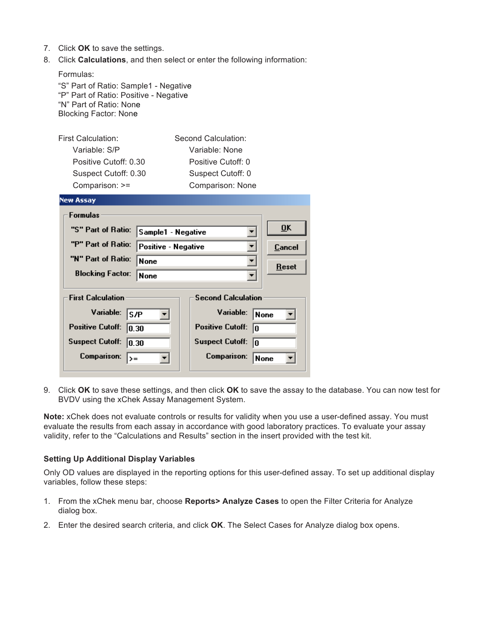- 7. Click **OK** to save the settings.
- 8. Click **Calculations**, and then select or enter the following information:

| Formulas:<br>"S" Part of Ratio: Sample1 - Negative<br>"P" Part of Ratio: Positive - Negative<br>"N" Part of Ratio: None<br><b>Blocking Factor: None</b> |                               |               |
|---------------------------------------------------------------------------------------------------------------------------------------------------------|-------------------------------|---------------|
| First Calculation:                                                                                                                                      | Second Calculation:           |               |
| Variable: S/P                                                                                                                                           | Variable: None                |               |
| Positive Cutoff: 0.30                                                                                                                                   | Positive Cutoff: 0            |               |
| Suspect Cutoff: 0.30                                                                                                                                    | Suspect Cutoff: 0             |               |
| Comparison: >=                                                                                                                                          | Comparison: None              |               |
| <b>New Assay</b>                                                                                                                                        |                               |               |
| <b>Formulas</b>                                                                                                                                         |                               |               |
| "S" Part of Ratio:<br>Sample1 - Negative                                                                                                                |                               | <b>OK</b>     |
|                                                                                                                                                         |                               |               |
| "P" Part of Ratio:<br>Positive - Negative                                                                                                               |                               | <b>Cancel</b> |
| "N" Part of Ratio:<br>None                                                                                                                              |                               |               |
| <b>Blocking Factor:</b><br>None                                                                                                                         |                               | <b>Reset</b>  |
|                                                                                                                                                         |                               |               |
| <b>First Calculation</b>                                                                                                                                | <b>Second Calculation</b>     |               |
| Variable:<br> S/P                                                                                                                                       | Variable:<br>None             |               |
| <b>Positive Cutoff:</b><br> 0.30                                                                                                                        | <b>Positive Cutoff:</b><br>lo |               |
| <b>Suspect Cutoff:</b><br> 0.30                                                                                                                         | <b>Suspect Cutoff:</b><br>10  |               |

9. Click **OK** to save these settings, and then click **OK** to save the assay to the database. You can now test for BVDV using the xChek Assay Management System.

**Note:** xChek does not evaluate controls or results for validity when you use a user-defined assay. You must evaluate the results from each assay in accordance with good laboratory practices. To evaluate your assay validity, refer to the "Calculations and Results" section in the insert provided with the test kit.

## **Setting Up Additional Display Variables**

Only OD values are displayed in the reporting options for this user-defined assay. To set up additional display variables, follow these steps:

- 1. From the xChek menu bar, choose **Reports> Analyze Cases** to open the Filter Criteria for Analyze dialog box.
- 2. Enter the desired search criteria, and click **OK**. The Select Cases for Analyze dialog box opens.